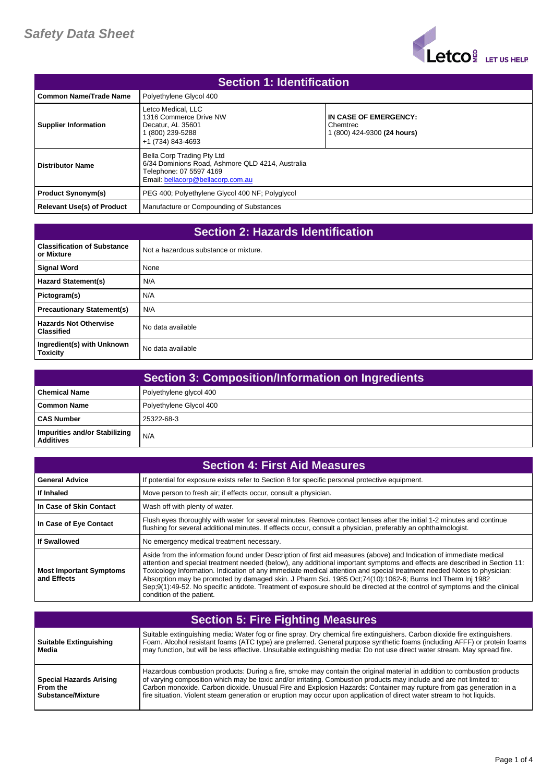

| <b>Section 1: Identification</b>  |                                                                                                                                                |                                                                  |
|-----------------------------------|------------------------------------------------------------------------------------------------------------------------------------------------|------------------------------------------------------------------|
| <b>Common Name/Trade Name</b>     | Polyethylene Glycol 400                                                                                                                        |                                                                  |
| <b>Supplier Information</b>       | Letco Medical, LLC<br>1316 Commerce Drive NW<br>Decatur, AL 35601<br>1 (800) 239-5288<br>+1 (734) 843-4693                                     | IN CASE OF EMERGENCY:<br>Chemtrec<br>1 (800) 424-9300 (24 hours) |
| <b>Distributor Name</b>           | Bella Corp Trading Pty Ltd<br>6/34 Dominions Road, Ashmore QLD 4214, Australia<br>Telephone: 07 5597 4169<br>Email: bellacorp@bellacorp.com.au |                                                                  |
| <b>Product Synonym(s)</b>         | PEG 400; Polyethylene Glycol 400 NF; Polyglycol                                                                                                |                                                                  |
| <b>Relevant Use(s) of Product</b> | Manufacture or Compounding of Substances                                                                                                       |                                                                  |

| <b>Section 2: Hazards Identification</b>          |                                       |
|---------------------------------------------------|---------------------------------------|
| <b>Classification of Substance</b><br>or Mixture  | Not a hazardous substance or mixture. |
| <b>Signal Word</b>                                | None                                  |
| <b>Hazard Statement(s)</b>                        | N/A                                   |
| Pictogram(s)                                      | N/A                                   |
| <b>Precautionary Statement(s)</b>                 | N/A                                   |
| <b>Hazards Not Otherwise</b><br><b>Classified</b> | No data available                     |
| Ingredient(s) with Unknown<br><b>Toxicity</b>     | No data available                     |

| <b>Section 3: Composition/Information on Ingredients</b> |                         |
|----------------------------------------------------------|-------------------------|
| <b>Chemical Name</b>                                     | Polyethylene glycol 400 |
| Common Name                                              | Polyethylene Glycol 400 |
| <b>CAS Number</b>                                        | 25322-68-3              |
| Impurities and/or Stabilizing<br><b>Additives</b>        | N/A                     |

| <b>Section 4: First Aid Measures</b>          |                                                                                                                                                                                                                                                                                                                                                                                                                                                                                                                                                                                                                                                         |
|-----------------------------------------------|---------------------------------------------------------------------------------------------------------------------------------------------------------------------------------------------------------------------------------------------------------------------------------------------------------------------------------------------------------------------------------------------------------------------------------------------------------------------------------------------------------------------------------------------------------------------------------------------------------------------------------------------------------|
| <b>General Advice</b>                         | If potential for exposure exists refer to Section 8 for specific personal protective equipment.                                                                                                                                                                                                                                                                                                                                                                                                                                                                                                                                                         |
| If Inhaled                                    | Move person to fresh air; if effects occur, consult a physician.                                                                                                                                                                                                                                                                                                                                                                                                                                                                                                                                                                                        |
| In Case of Skin Contact                       | Wash off with plenty of water.                                                                                                                                                                                                                                                                                                                                                                                                                                                                                                                                                                                                                          |
| In Case of Eye Contact                        | Flush eyes thoroughly with water for several minutes. Remove contact lenses after the initial 1-2 minutes and continue<br>flushing for several additional minutes. If effects occur, consult a physician, preferably an ophthalmologist.                                                                                                                                                                                                                                                                                                                                                                                                                |
| <b>If Swallowed</b>                           | No emergency medical treatment necessary.                                                                                                                                                                                                                                                                                                                                                                                                                                                                                                                                                                                                               |
| <b>Most Important Symptoms</b><br>and Effects | Aside from the information found under Description of first aid measures (above) and Indication of immediate medical<br>attention and special treatment needed (below), any additional important symptoms and effects are described in Section 11:<br>Toxicology Information. Indication of any immediate medical attention and special treatment needed Notes to physician:<br>Absorption may be promoted by damaged skin. J Pharm Sci. 1985 Oct: 74(10): 1062-6; Burns Incl Therm Inj 1982<br>Sep:9(1):49-52. No specific antidote. Treatment of exposure should be directed at the control of symptoms and the clinical<br>condition of the patient. |

| <b>Section 5: Fire Fighting Measures</b>                        |                                                                                                                                                                                                                                                                                                                                                                                                                                                                                                   |
|-----------------------------------------------------------------|---------------------------------------------------------------------------------------------------------------------------------------------------------------------------------------------------------------------------------------------------------------------------------------------------------------------------------------------------------------------------------------------------------------------------------------------------------------------------------------------------|
| Suitable Extinguishing<br>Media                                 | Suitable extinguishing media: Water fog or fine spray. Dry chemical fire extinguishers. Carbon dioxide fire extinguishers.<br>Foam. Alcohol resistant foams (ATC type) are preferred. General purpose synthetic foams (including AFFF) or protein foams<br>may function, but will be less effective. Unsuitable extinguishing media: Do not use direct water stream. May spread fire.                                                                                                             |
| <b>Special Hazards Arising</b><br>From the<br>Substance/Mixture | Hazardous combustion products: During a fire, smoke may contain the original material in addition to combustion products<br>of varying composition which may be toxic and/or irritating. Combustion products may include and are not limited to:<br>Carbon monoxide. Carbon dioxide. Unusual Fire and Explosion Hazards: Container may rupture from gas generation in a<br>fire situation. Violent steam generation or eruption may occur upon application of direct water stream to hot liquids. |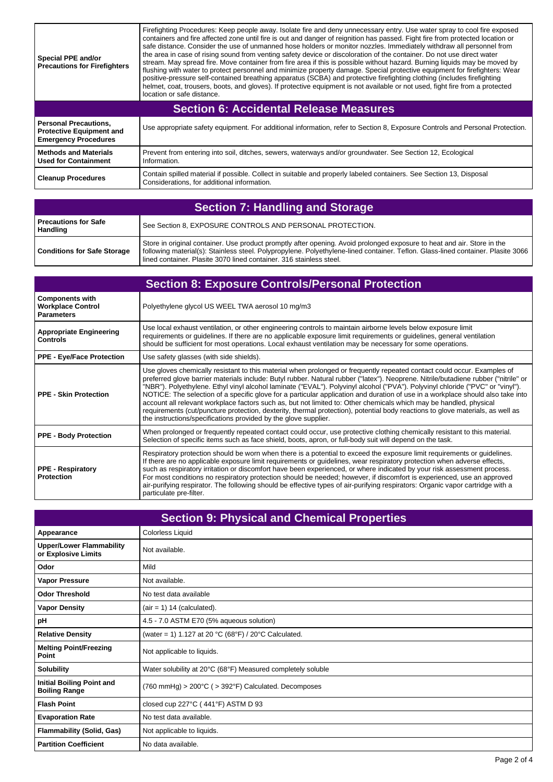| <b>Special PPE and/or</b><br><b>Precautions for Firefighters</b>                               | Firefighting Procedures: Keep people away. Isolate fire and deny unnecessary entry. Use water spray to cool fire exposed<br>containers and fire affected zone until fire is out and danger of reignition has passed. Fight fire from protected location or<br>safe distance. Consider the use of unmanned hose holders or monitor nozzles. Immediately withdraw all personnel from<br>the area in case of rising sound from venting safety device or discoloration of the container. Do not use direct water<br>stream. May spread fire. Move container from fire area if this is possible without hazard. Burning liquids may be moved by<br>flushing with water to protect personnel and minimize property damage. Special protective equipment for firefighters: Wear<br>positive-pressure self-contained breathing apparatus (SCBA) and protective firefighting clothing (includes firefighting<br>helmet, coat, trousers, boots, and gloves). If protective equipment is not available or not used, fight fire from a protected<br>location or safe distance. |  |
|------------------------------------------------------------------------------------------------|--------------------------------------------------------------------------------------------------------------------------------------------------------------------------------------------------------------------------------------------------------------------------------------------------------------------------------------------------------------------------------------------------------------------------------------------------------------------------------------------------------------------------------------------------------------------------------------------------------------------------------------------------------------------------------------------------------------------------------------------------------------------------------------------------------------------------------------------------------------------------------------------------------------------------------------------------------------------------------------------------------------------------------------------------------------------|--|
| <b>Section 6: Accidental Release Measures</b>                                                  |                                                                                                                                                                                                                                                                                                                                                                                                                                                                                                                                                                                                                                                                                                                                                                                                                                                                                                                                                                                                                                                                    |  |
| <b>Personal Precautions.</b><br><b>Protective Equipment and</b><br><b>Emergency Procedures</b> | Use appropriate safety equipment. For additional information, refer to Section 8, Exposure Controls and Personal Protection.                                                                                                                                                                                                                                                                                                                                                                                                                                                                                                                                                                                                                                                                                                                                                                                                                                                                                                                                       |  |
| <b>Methods and Materials</b><br><b>Used for Containment</b>                                    | Prevent from entering into soil, ditches, sewers, waterways and/or groundwater. See Section 12, Ecological<br>Information.                                                                                                                                                                                                                                                                                                                                                                                                                                                                                                                                                                                                                                                                                                                                                                                                                                                                                                                                         |  |
| <b>Cleanup Procedures</b>                                                                      | Contain spilled material if possible. Collect in suitable and properly labeled containers. See Section 13, Disposal<br>Considerations, for additional information.                                                                                                                                                                                                                                                                                                                                                                                                                                                                                                                                                                                                                                                                                                                                                                                                                                                                                                 |  |

 $\overline{1}$ 

| <b>Section 7: Handling and Storage</b> |                                                                                                                                                                                                                                                                                                                                    |
|----------------------------------------|------------------------------------------------------------------------------------------------------------------------------------------------------------------------------------------------------------------------------------------------------------------------------------------------------------------------------------|
| Precautions for Safe<br>Handling       | See Section 8, EXPOSURE CONTROLS AND PERSONAL PROTECTION.                                                                                                                                                                                                                                                                          |
| <b>Conditions for Safe Storage</b>     | Store in original container. Use product promptly after opening. Avoid prolonged exposure to heat and air. Store in the<br>following material(s): Stainless steel. Polypropylene. Polyethylene-lined container. Teflon. Glass-lined container. Plasite 3066<br>lined container. Plasite 3070 lined container. 316 stainless steel. |

| <b>Section 8: Exposure Controls/Personal Protection</b>                 |                                                                                                                                                                                                                                                                                                                                                                                                                                                                                                                                                                                                                                                                                                                                                                                                                                                                |
|-------------------------------------------------------------------------|----------------------------------------------------------------------------------------------------------------------------------------------------------------------------------------------------------------------------------------------------------------------------------------------------------------------------------------------------------------------------------------------------------------------------------------------------------------------------------------------------------------------------------------------------------------------------------------------------------------------------------------------------------------------------------------------------------------------------------------------------------------------------------------------------------------------------------------------------------------|
| <b>Components with</b><br><b>Workplace Control</b><br><b>Parameters</b> | Polyethylene glycol US WEEL TWA aerosol 10 mg/m3                                                                                                                                                                                                                                                                                                                                                                                                                                                                                                                                                                                                                                                                                                                                                                                                               |
| <b>Appropriate Engineering</b><br><b>Controls</b>                       | Use local exhaust ventilation, or other engineering controls to maintain airborne levels below exposure limit<br>requirements or guidelines. If there are no applicable exposure limit requirements or guidelines, general ventilation<br>should be sufficient for most operations. Local exhaust ventilation may be necessary for some operations.                                                                                                                                                                                                                                                                                                                                                                                                                                                                                                            |
| <b>PPE - Eye/Face Protection</b>                                        | Use safety glasses (with side shields).                                                                                                                                                                                                                                                                                                                                                                                                                                                                                                                                                                                                                                                                                                                                                                                                                        |
| <b>PPE - Skin Protection</b>                                            | Use gloves chemically resistant to this material when prolonged or frequently repeated contact could occur. Examples of<br>preferred glove barrier materials include: Butyl rubber. Natural rubber ("latex"). Neoprene. Nitrile/butadiene rubber ("nitrile" or<br>"NBR"). Polyethylene. Ethyl vinyl alcohol laminate ("EVAL"). Polyvinyl alcohol ("PVA"). Polyvinyl chloride ("PVC" or "vinyl").<br>NOTICE: The selection of a specific glove for a particular application and duration of use in a workplace should also take into<br>account all relevant workplace factors such as, but not limited to: Other chemicals which may be handled, physical<br>requirements (cut/puncture protection, dexterity, thermal protection), potential body reactions to glove materials, as well as<br>the instructions/specifications provided by the glove supplier. |
| <b>PPE - Body Protection</b>                                            | When prolonged or frequently repeated contact could occur, use protective clothing chemically resistant to this material.<br>Selection of specific items such as face shield, boots, apron, or full-body suit will depend on the task.                                                                                                                                                                                                                                                                                                                                                                                                                                                                                                                                                                                                                         |
| <b>PPE - Respiratory</b><br><b>Protection</b>                           | Respiratory protection should be worn when there is a potential to exceed the exposure limit requirements or guidelines.<br>If there are no applicable exposure limit requirements or guidelines, wear respiratory protection when adverse effects,<br>such as respiratory irritation or discomfort have been experienced, or where indicated by your risk assessment process.<br>For most conditions no respiratory protection should be needed; however, if discomfort is experienced, use an approved<br>air-purifying respirator. The following should be effective types of air-purifying respirators: Organic vapor cartridge with a<br>particulate pre-filter.                                                                                                                                                                                          |

| <b>Section 9: Physical and Chemical Properties</b>     |                                                                                 |
|--------------------------------------------------------|---------------------------------------------------------------------------------|
| Appearance                                             | Colorless Liquid                                                                |
| <b>Upper/Lower Flammability</b><br>or Explosive Limits | Not available.                                                                  |
| Odor                                                   | Mild                                                                            |
| <b>Vapor Pressure</b>                                  | Not available.                                                                  |
| <b>Odor Threshold</b>                                  | No test data available                                                          |
| <b>Vapor Density</b>                                   | $air = 1)$ 14 (calculated).                                                     |
| рH                                                     | 4.5 - 7.0 ASTM E70 (5% aqueous solution)                                        |
| <b>Relative Density</b>                                | (water = 1) 1.127 at 20 °C (68°F) / 20°C Calculated.                            |
| <b>Melting Point/Freezing</b><br>Point                 | Not applicable to liquids.                                                      |
| <b>Solubility</b>                                      | Water solubility at 20°C (68°F) Measured completely soluble                     |
| Initial Boiling Point and<br><b>Boiling Range</b>      | $(760 \text{ mmHg}) > 200^{\circ}C$ ( $> 392^{\circ}F$ ) Calculated. Decomposes |
| <b>Flash Point</b>                                     | closed cup 227°C (441°F) ASTM D 93                                              |
| <b>Evaporation Rate</b>                                | No test data available.                                                         |
| <b>Flammability (Solid, Gas)</b>                       | Not applicable to liquids.                                                      |
| <b>Partition Coefficient</b>                           | No data available.                                                              |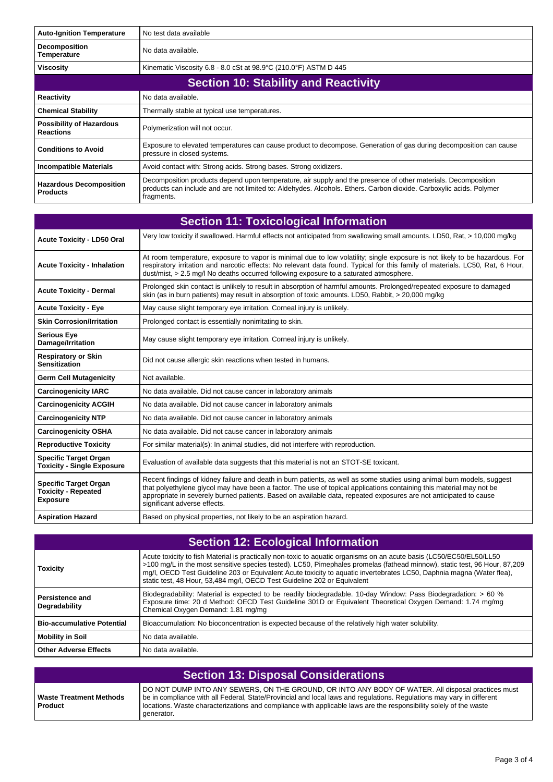| <b>Auto-Ignition Temperature</b>                    | No test data available                                                                                                                                                                                                                             |  |  |
|-----------------------------------------------------|----------------------------------------------------------------------------------------------------------------------------------------------------------------------------------------------------------------------------------------------------|--|--|
| <b>Decomposition</b><br><b>Temperature</b>          | No data available.                                                                                                                                                                                                                                 |  |  |
| <b>Viscosity</b>                                    | Kinematic Viscosity 6.8 - 8.0 cSt at 98.9°C (210.0°F) ASTM D 445                                                                                                                                                                                   |  |  |
|                                                     | <b>Section 10: Stability and Reactivity</b>                                                                                                                                                                                                        |  |  |
| <b>Reactivity</b>                                   | No data available.                                                                                                                                                                                                                                 |  |  |
| <b>Chemical Stability</b>                           | Thermally stable at typical use temperatures.                                                                                                                                                                                                      |  |  |
| <b>Possibility of Hazardous</b><br><b>Reactions</b> | Polymerization will not occur.                                                                                                                                                                                                                     |  |  |
| <b>Conditions to Avoid</b>                          | Exposure to elevated temperatures can cause product to decompose. Generation of gas during decomposition can cause<br>pressure in closed systems.                                                                                                  |  |  |
| <b>Incompatible Materials</b>                       | Avoid contact with: Strong acids. Strong bases. Strong oxidizers.                                                                                                                                                                                  |  |  |
| <b>Hazardous Decomposition</b><br><b>Products</b>   | Decomposition products depend upon temperature, air supply and the presence of other materials. Decomposition<br>products can include and are not limited to: Aldehydes. Alcohols. Ethers. Carbon dioxide. Carboxylic acids. Polymer<br>fragments. |  |  |

| <b>Section 11: Toxicological Information</b>                                  |                                                                                                                                                                                                                                                                                                                                                                                                      |
|-------------------------------------------------------------------------------|------------------------------------------------------------------------------------------------------------------------------------------------------------------------------------------------------------------------------------------------------------------------------------------------------------------------------------------------------------------------------------------------------|
| <b>Acute Toxicity - LD50 Oral</b>                                             | Very low toxicity if swallowed. Harmful effects not anticipated from swallowing small amounts. LD50, Rat, > 10,000 mg/kg                                                                                                                                                                                                                                                                             |
| <b>Acute Toxicity - Inhalation</b>                                            | At room temperature, exposure to vapor is minimal due to low volatility; single exposure is not likely to be hazardous. For<br>respiratory irritation and narcotic effects: No relevant data found. Typical for this family of materials. LC50, Rat, 6 Hour,<br>dust/mist, > 2.5 mg/l No deaths occurred following exposure to a saturated atmosphere.                                               |
| <b>Acute Toxicity - Dermal</b>                                                | Prolonged skin contact is unlikely to result in absorption of harmful amounts. Prolonged/repeated exposure to damaged<br>skin (as in burn patients) may result in absorption of toxic amounts. LD50, Rabbit, > 20,000 mg/kg                                                                                                                                                                          |
| <b>Acute Toxicity - Eye</b>                                                   | May cause slight temporary eye irritation. Corneal injury is unlikely.                                                                                                                                                                                                                                                                                                                               |
| <b>Skin Corrosion/Irritation</b>                                              | Prolonged contact is essentially nonirritating to skin.                                                                                                                                                                                                                                                                                                                                              |
| <b>Serious Eye</b><br>Damage/Irritation                                       | May cause slight temporary eye irritation. Corneal injury is unlikely.                                                                                                                                                                                                                                                                                                                               |
| <b>Respiratory or Skin</b><br><b>Sensitization</b>                            | Did not cause allergic skin reactions when tested in humans.                                                                                                                                                                                                                                                                                                                                         |
| <b>Germ Cell Mutagenicity</b>                                                 | Not available.                                                                                                                                                                                                                                                                                                                                                                                       |
| <b>Carcinogenicity IARC</b>                                                   | No data available. Did not cause cancer in laboratory animals                                                                                                                                                                                                                                                                                                                                        |
| <b>Carcinogenicity ACGIH</b>                                                  | No data available. Did not cause cancer in laboratory animals                                                                                                                                                                                                                                                                                                                                        |
| <b>Carcinogenicity NTP</b>                                                    | No data available. Did not cause cancer in laboratory animals                                                                                                                                                                                                                                                                                                                                        |
| <b>Carcinogenicity OSHA</b>                                                   | No data available. Did not cause cancer in laboratory animals                                                                                                                                                                                                                                                                                                                                        |
| <b>Reproductive Toxicity</b>                                                  | For similar material(s): In animal studies, did not interfere with reproduction.                                                                                                                                                                                                                                                                                                                     |
| <b>Specific Target Organ</b><br><b>Toxicity - Single Exposure</b>             | Evaluation of available data suggests that this material is not an STOT-SE toxicant.                                                                                                                                                                                                                                                                                                                 |
| <b>Specific Target Organ</b><br><b>Toxicity - Repeated</b><br><b>Exposure</b> | Recent findings of kidney failure and death in burn patients, as well as some studies using animal burn models, suggest<br>that polyethylene glycol may have been a factor. The use of topical applications containing this material may not be<br>appropriate in severely burned patients. Based on available data, repeated exposures are not anticipated to cause<br>significant adverse effects. |
| <b>Aspiration Hazard</b>                                                      | Based on physical properties, not likely to be an aspiration hazard.                                                                                                                                                                                                                                                                                                                                 |

| <b>Section 12: Ecological Information</b> |                                                                                                                                                                                                                                                                                                                                                                                                                                                        |
|-------------------------------------------|--------------------------------------------------------------------------------------------------------------------------------------------------------------------------------------------------------------------------------------------------------------------------------------------------------------------------------------------------------------------------------------------------------------------------------------------------------|
| <b>Toxicity</b>                           | Acute toxicity to fish Material is practically non-toxic to aquatic organisms on an acute basis (LC50/EC50/EL50/LL50<br>>100 mg/L in the most sensitive species tested). LC50, Pimephales promelas (fathead minnow), static test, 96 Hour, 87,209<br>mq/l, OECD Test Guideline 203 or Equivalent Acute toxicity to aquatic invertebrates LC50, Daphnia magna (Water flea),<br>static test, 48 Hour, 53,484 mg/l, OECD Test Guideline 202 or Equivalent |
| <b>Persistence and</b><br>Degradability   | Biodegradability: Material is expected to be readily biodegradable. 10-day Window: Pass Biodegradation: > 60 %<br>Exposure time: 20 d Method: OECD Test Guideline 301D or Equivalent Theoretical Oxygen Demand: 1.74 mg/mg<br>Chemical Oxygen Demand: 1.81 mg/mg                                                                                                                                                                                       |
| <b>Bio-accumulative Potential</b>         | Bioaccumulation: No bioconcentration is expected because of the relatively high water solubility.                                                                                                                                                                                                                                                                                                                                                      |
| <b>Mobility in Soil</b>                   | No data available.                                                                                                                                                                                                                                                                                                                                                                                                                                     |
| <b>Other Adverse Effects</b>              | No data available.                                                                                                                                                                                                                                                                                                                                                                                                                                     |

| Section 13: Disposal Considerations       |                                                                                                                                                                                                                                                                                                                                                                |  |
|-------------------------------------------|----------------------------------------------------------------------------------------------------------------------------------------------------------------------------------------------------------------------------------------------------------------------------------------------------------------------------------------------------------------|--|
| Waste Treatment Methods<br><b>Product</b> | DO NOT DUMP INTO ANY SEWERS, ON THE GROUND, OR INTO ANY BODY OF WATER. All disposal practices must<br>be in compliance with all Federal, State/Provincial and local laws and regulations. Regulations may vary in different<br>locations. Waste characterizations and compliance with applicable laws are the responsibility solely of the waste<br>generator. |  |